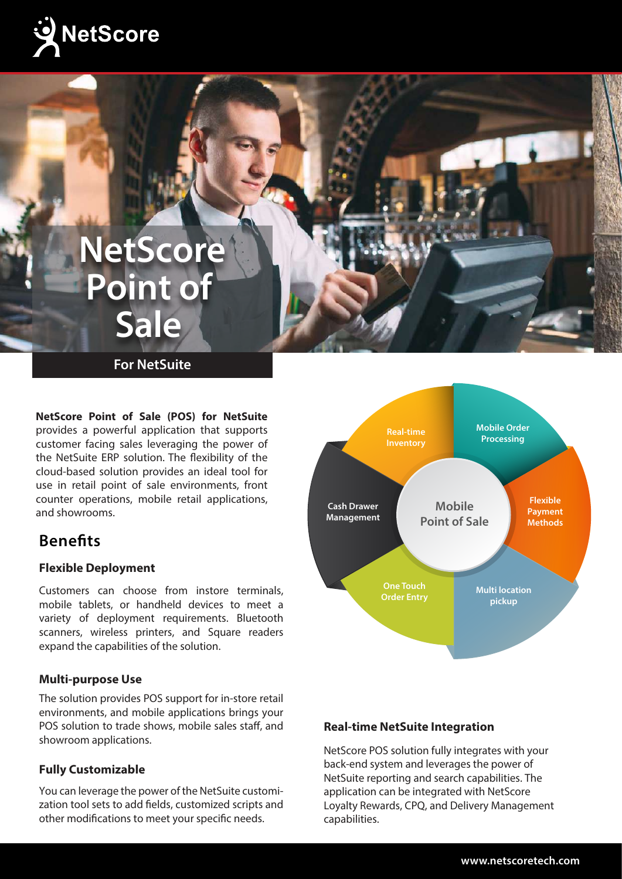

# **NetScore Point of Sale**

**For NetSuite**

**NetScore Point of Sale (POS) for NetSuite**  provides a powerful application that supports customer facing sales leveraging the power of the NetSuite ERP solution. The flexibility of the cloud-based solution provides an ideal tool for use in retail point of sale environments, front counter operations, mobile retail applications, and showrooms.

# **Benets**

#### **Flexible Deployment**

Customers can choose from instore terminals, mobile tablets, or handheld devices to meet a variety of deployment requirements. Bluetooth scanners, wireless printers, and Square readers expand the capabilities of the solution.

#### **Multi-purpose Use**

The solution provides POS support for in-store retail environments, and mobile applications brings your POS solution to trade shows, mobile sales staff, and showroom applications.

## **Fully Customizable**

You can leverage the power of the NetSuite customization tool sets to add fields, customized scripts and other modifications to meet your specific needs.



## **Real-time NetSuite Integration**

NetScore POS solution fully integrates with your back-end system and leverages the power of NetSuite reporting and search capabilities. The application can be integrated with NetScore Loyalty Rewards, CPQ, and Delivery Management capabilities.